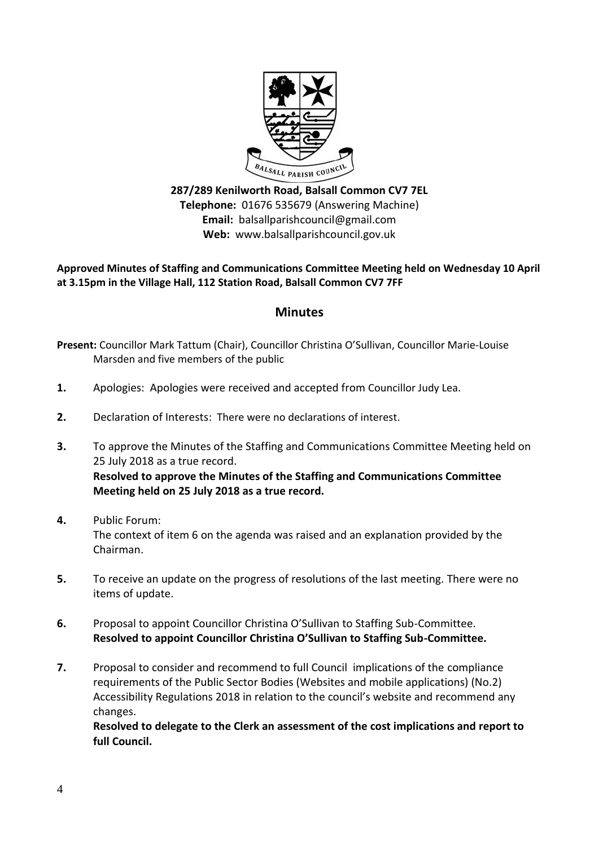

**287/289 Kenilworth Road, Balsall Common CV7 7EL Telephone:** 01676 535679 (Answering Machine) **Email:** balsallparishcouncil@gmail.com **Web:** www.balsallparishcouncil.gov.uk

**Approved Minutes of Staffing and Communications Committee Meeting held on Wednesday 10 April at 3.15pm in the Village Hall, 112 Station Road, Balsall Common CV7 7FF**

## **Minutes**

- **Present:** Councillor Mark Tattum (Chair), Councillor Christina O'Sullivan, Councillor Marie-Louise Marsden and five members of the public
- **1.** Apologies: Apologies were received and accepted from Councillor Judy Lea.
- **2.** Declaration of Interests: There were no declarations of interest.
- **3.** To approve the Minutes of the Staffing and Communications Committee Meeting held on 25 July 2018 as a true record. **Resolved to approve the Minutes of the Staffing and Communications Committee Meeting held on 25 July 2018 as a true record.**
- **4.** Public Forum: The context of item 6 on the agenda was raised and an explanation provided by the Chairman.
- **5.** To receive an update on the progress of resolutions of the last meeting. There were no items of update.
- **6.** Proposal to appoint Councillor Christina O'Sullivan to Staffing Sub-Committee. **Resolved to appoint Councillor Christina O'Sullivan to Staffing Sub-Committee.**
- **7.** Proposal to consider and recommend to full Council implications of the compliance requirements of the Public Sector Bodies (Websites and mobile applications) (No.2) Accessibility Regulations 2018 in relation to the council's website and recommend any changes.

**Resolved to delegate to the Clerk an assessment of the cost implications and report to full Council.**